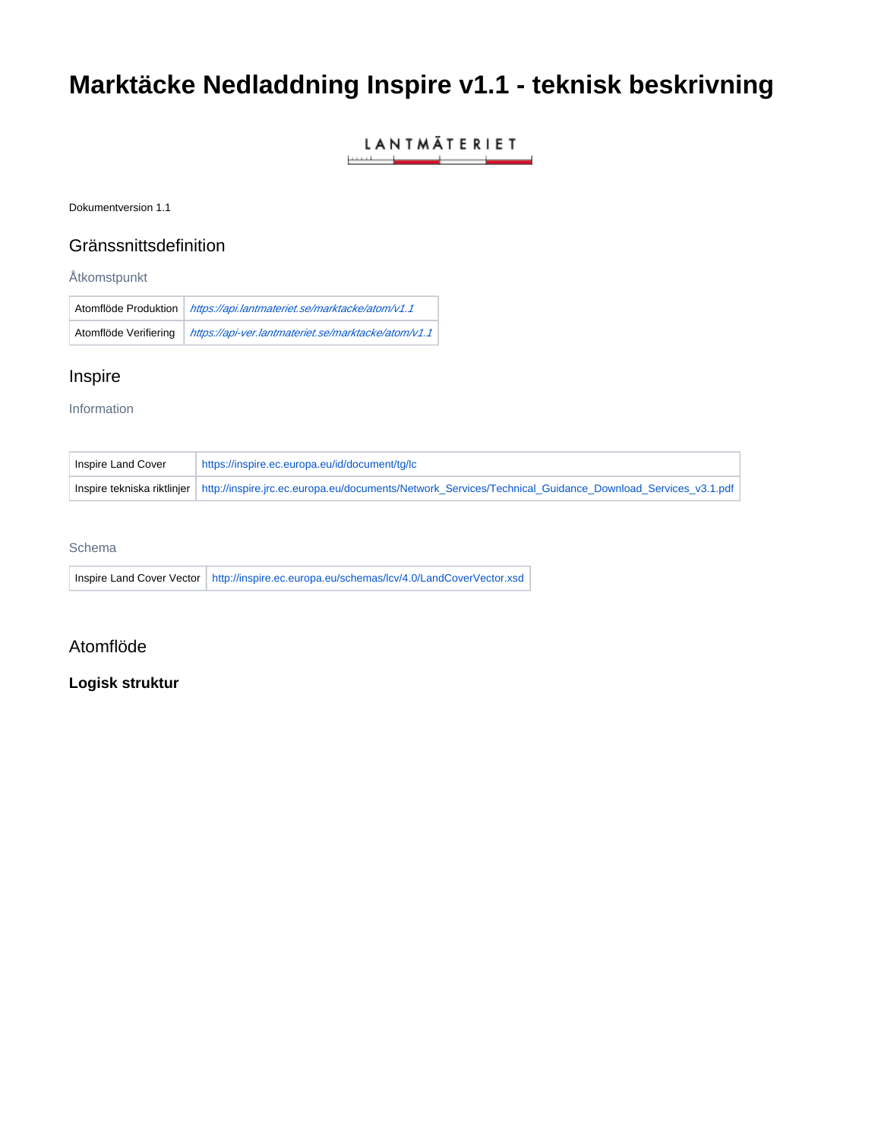# **Marktäcke Nedladdning Inspire v1.1 - teknisk beskrivning**

## LANTMÄTERIET <u> 1989 - Jan Alexandro Alexandro II</u>

Dokumentversion 1.1

# Gränssnittsdefinition

Åtkomstpunkt

|                       | Atomflöde Produktion   https://api.lantmateriet.se/marktacke/atom/v1.1 |
|-----------------------|------------------------------------------------------------------------|
| Atomflöde Verifiering | https://api-ver.lantmateriet.se/marktacke/atom/v1.1                    |

# Inspire

Information

| Inspire Land Cover | https://inspire.ec.europa.eu/id/document/tg/lc                                                                                       |
|--------------------|--------------------------------------------------------------------------------------------------------------------------------------|
|                    | Inspire tekniska riktlinjer http://inspire.jrc.ec.europa.eu/documents/Network Services/Technical Guidance Download Services v3.1.pdf |

### Schema

Inspire Land Cover Vector | <http://inspire.ec.europa.eu/schemas/lcv/4.0/LandCoverVector.xsd>

## Atomflöde

## **Logisk struktur**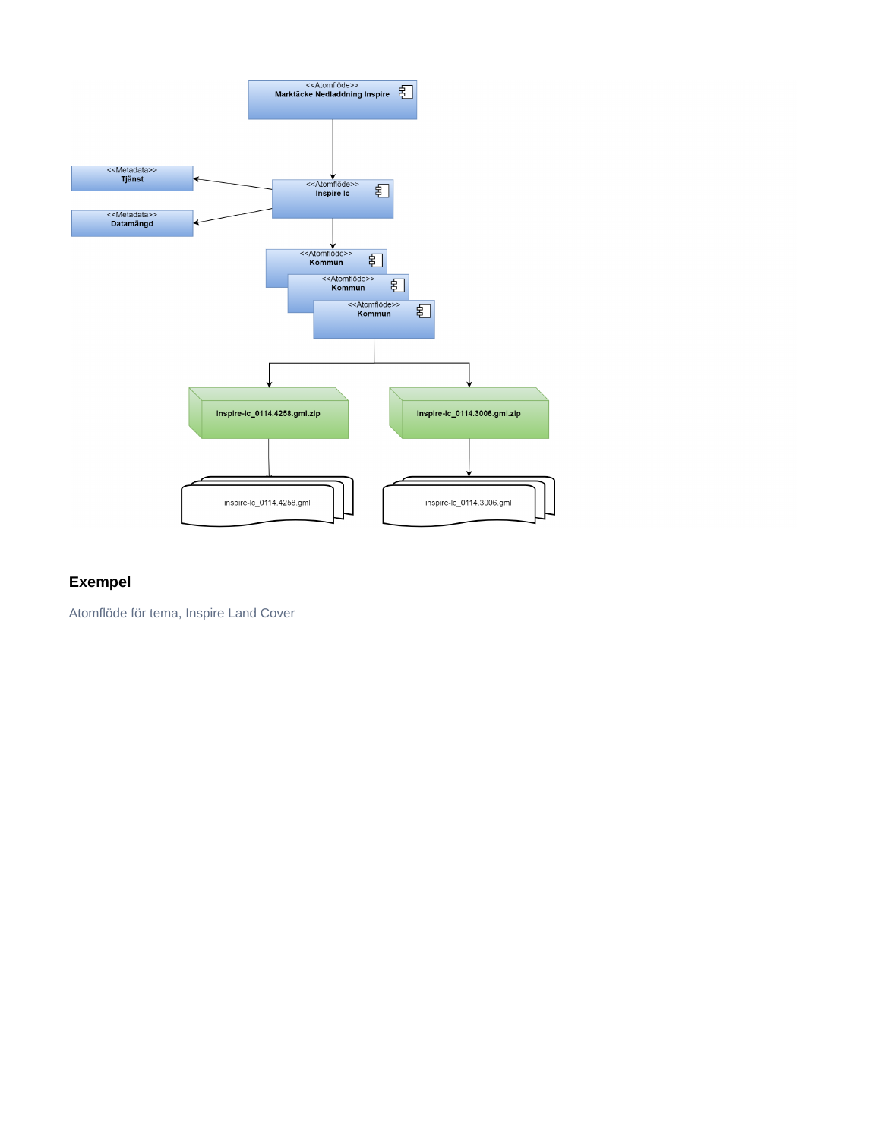

# **Exempel**

Atomflöde för tema, Inspire Land Cover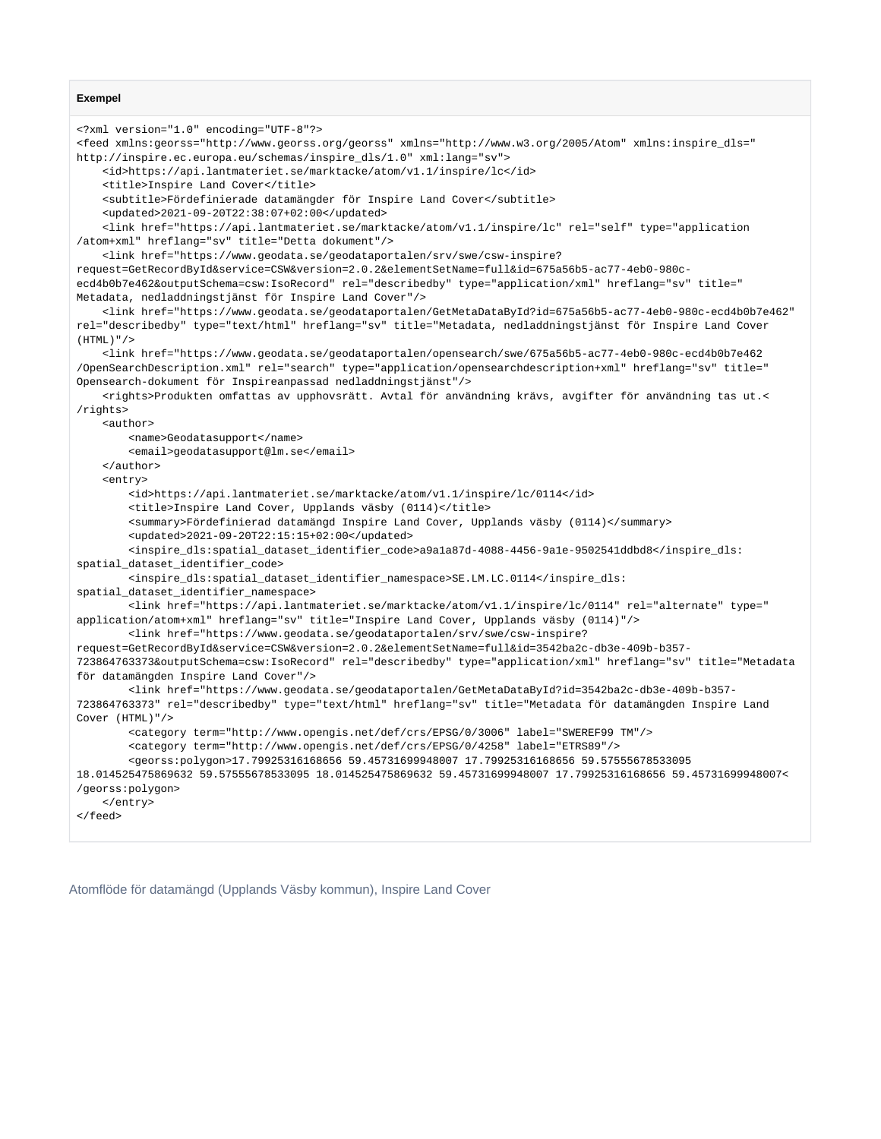#### **Exempel**

```
<?xml version="1.0" encoding="UTF-8"?>
<feed xmlns:georss="http://www.georss.org/georss" xmlns="http://www.w3.org/2005/Atom" xmlns:inspire_dls="
http://inspire.ec.europa.eu/schemas/inspire_dls/1.0" xml:lang="sv">
    <id>https://api.lantmateriet.se/marktacke/atom/v1.1/inspire/lc</id>
    <title>Inspire Land Cover</title>
    <subtitle>Fördefinierade datamängder för Inspire Land Cover</subtitle>
    <updated>2021-09-20T22:38:07+02:00</updated>
     <link href="https://api.lantmateriet.se/marktacke/atom/v1.1/inspire/lc" rel="self" type="application
/atom+xml" hreflang="sv" title="Detta dokument"/>
    <link href="https://www.geodata.se/geodataportalen/srv/swe/csw-inspire?
request=GetRecordById&service=CSW&version=2.0.2&elementSetName=full&id=675a56b5-ac77-4eb0-980c-
ecd4b0b7e462&outputSchema=csw:IsoRecord" rel="describedby" type="application/xml" hreflang="sv" title="
Metadata, nedladdningstjänst för Inspire Land Cover"/>
     <link href="https://www.geodata.se/geodataportalen/GetMetaDataById?id=675a56b5-ac77-4eb0-980c-ecd4b0b7e462" 
rel="describedby" type="text/html" hreflang="sv" title="Metadata, nedladdningstjänst för Inspire Land Cover 
(HTMT.)"/>
     <link href="https://www.geodata.se/geodataportalen/opensearch/swe/675a56b5-ac77-4eb0-980c-ecd4b0b7e462
/OpenSearchDescription.xml" rel="search" type="application/opensearchdescription+xml" hreflang="sv" title="
Opensearch-dokument för Inspireanpassad nedladdningstjänst"/>
    <rights>Produkten omfattas av upphovsrätt. Avtal för användning krävs, avgifter för användning tas ut.<
/rights>
    <author>
        <name>Geodatasupport</name>
        <email>geodatasupport@lm.se</email>
    </author>
     <entry>
         <id>https://api.lantmateriet.se/marktacke/atom/v1.1/inspire/lc/0114</id>
         <title>Inspire Land Cover, Upplands väsby (0114)</title>
        <summary>Fördefinierad datamängd Inspire Land Cover, Upplands väsby (0114)</summary>
        <updated>2021-09-20T22:15:15+02:00</updated>
        <inspire_dls:spatial_dataset_identifier_code>a9a1a87d-4088-4456-9a1e-9502541ddbd8</inspire_dls:
spatial_dataset_identifier_code>
        <inspire_dls:spatial_dataset_identifier_namespace>SE.LM.LC.0114</inspire_dls:
spatial_dataset_identifier_namespace>
        <link href="https://api.lantmateriet.se/marktacke/atom/v1.1/inspire/lc/0114" rel="alternate" type="
application/atom+xml" hreflang="sv" title="Inspire Land Cover, Upplands väsby (0114)"/>
        <link href="https://www.geodata.se/geodataportalen/srv/swe/csw-inspire?
request=GetRecordById&service=CSW&version=2.0.2&elementSetName=full&id=3542ba2c-db3e-409b-b357-
723864763373&outputSchema=csw:IsoRecord" rel="describedby" type="application/xml" hreflang="sv" title="Metadata 
för datamängden Inspire Land Cover"/>
        <link href="https://www.geodata.se/geodataportalen/GetMetaDataById?id=3542ba2c-db3e-409b-b357-
723864763373" rel="describedby" type="text/html" hreflang="sv" title="Metadata för datamängden Inspire Land 
Cover (HTML)"/>
        <category term="http://www.opengis.net/def/crs/EPSG/0/3006" label="SWEREF99 TM"/>
        <category term="http://www.opengis.net/def/crs/EPSG/0/4258" label="ETRS89"/>
        <georss:polygon>17.79925316168656 59.45731699948007 17.79925316168656 59.57555678533095 
18.014525475869632 59.57555678533095 18.014525475869632 59.45731699948007 17.79925316168656 59.45731699948007<
/georss:polygon>
    </entry>
</feed>
```
Atomflöde för datamängd (Upplands Väsby kommun), Inspire Land Cover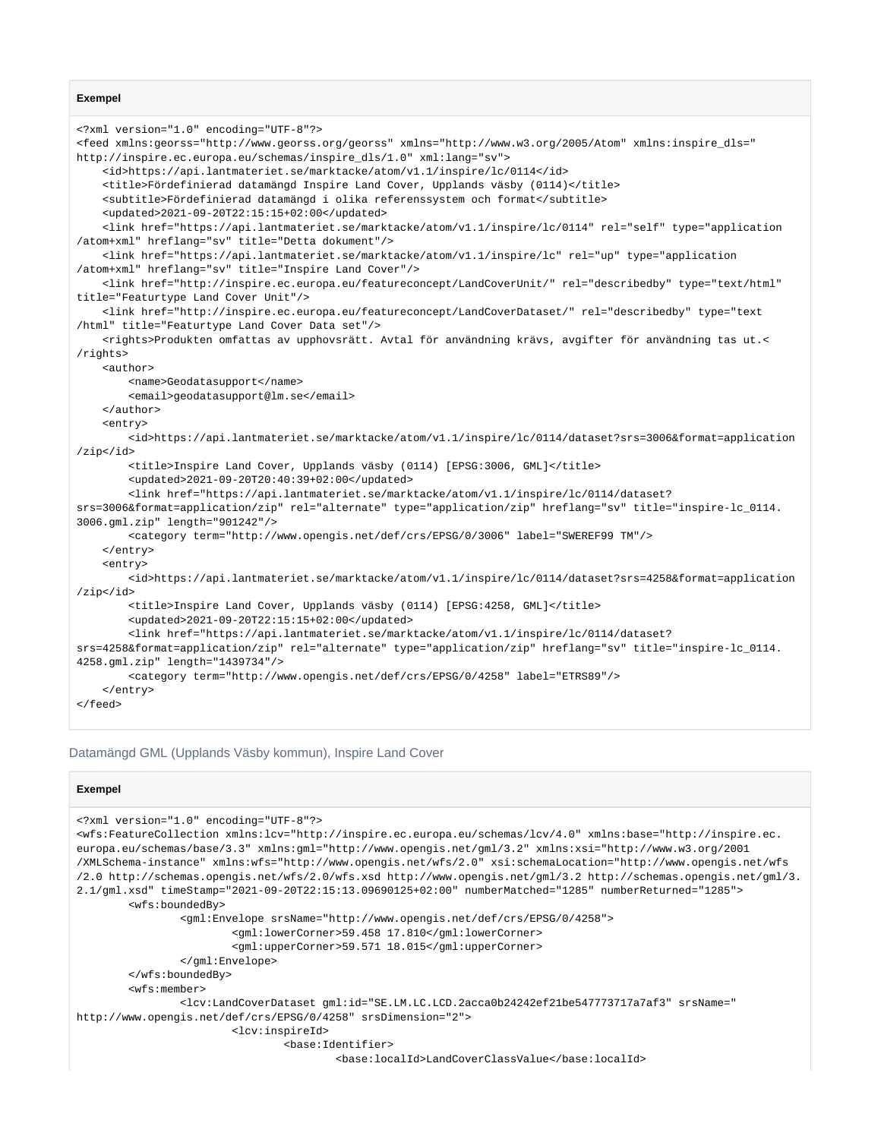#### **Exempel**

```
<?xml version="1.0" encoding="UTF-8"?>
<feed xmlns:georss="http://www.georss.org/georss" xmlns="http://www.w3.org/2005/Atom" xmlns:inspire_dls="
http://inspire.ec.europa.eu/schemas/inspire_dls/1.0" xml:lang="sv">
    <id>https://api.lantmateriet.se/marktacke/atom/v1.1/inspire/lc/0114</id>
    <title>Fördefinierad datamängd Inspire Land Cover, Upplands väsby (0114)</title>
    <subtitle>Fördefinierad datamängd i olika referenssystem och format</subtitle>
     <updated>2021-09-20T22:15:15+02:00</updated>
     <link href="https://api.lantmateriet.se/marktacke/atom/v1.1/inspire/lc/0114" rel="self" type="application
/atom+xml" hreflang="sv" title="Detta dokument"/>
    <link href="https://api.lantmateriet.se/marktacke/atom/v1.1/inspire/lc" rel="up" type="application
/atom+xml" hreflang="sv" title="Inspire Land Cover"/>
     <link href="http://inspire.ec.europa.eu/featureconcept/LandCoverUnit/" rel="describedby" type="text/html" 
title="Featurtype Land Cover Unit"/>
     <link href="http://inspire.ec.europa.eu/featureconcept/LandCoverDataset/" rel="describedby" type="text
/html" title="Featurtype Land Cover Data set"/>
    <rights>Produkten omfattas av upphovsrätt. Avtal för användning krävs, avgifter för användning tas ut.<
/rights>
    <author>
        <name>Geodatasupport</name>
        <email>geodatasupport@lm.se</email>
     </author>
     <entry>
        <id>https://api.lantmateriet.se/marktacke/atom/v1.1/inspire/lc/0114/dataset?srs=3006&format=application
/zip</id>
         <title>Inspire Land Cover, Upplands väsby (0114) [EPSG:3006, GML]</title>
         <updated>2021-09-20T20:40:39+02:00</updated>
         <link href="https://api.lantmateriet.se/marktacke/atom/v1.1/inspire/lc/0114/dataset?
srs=3006&format=application/zip" rel="alternate" type="application/zip" hreflang="sv" title="inspire-lc_0114.
3006.gml.zip" length="901242"/>
        <category term="http://www.opengis.net/def/crs/EPSG/0/3006" label="SWEREF99 TM"/>
     </entry>
    <entry>
        <id>https://api.lantmateriet.se/marktacke/atom/v1.1/inspire/lc/0114/dataset?srs=4258&format=application
/zip</id>
         <title>Inspire Land Cover, Upplands väsby (0114) [EPSG:4258, GML]</title>
        <updated>2021-09-20T22:15:15+02:00</updated>
        <link href="https://api.lantmateriet.se/marktacke/atom/v1.1/inspire/lc/0114/dataset?
srs=4258&format=application/zip" rel="alternate" type="application/zip" hreflang="sv" title="inspire-lc_0114.
4258.gml.zip" length="1439734"/>
         <category term="http://www.opengis.net/def/crs/EPSG/0/4258" label="ETRS89"/>
     </entry>
</feed>
```
#### Datamängd GML (Upplands Väsby kommun), Inspire Land Cover

#### **Exempel**

```
<?xml version="1.0" encoding="UTF-8"?>
<wfs:FeatureCollection xmlns:lcv="http://inspire.ec.europa.eu/schemas/lcv/4.0" xmlns:base="http://inspire.ec.
europa.eu/schemas/base/3.3" xmlns:gml="http://www.opengis.net/gml/3.2" xmlns:xsi="http://www.w3.org/2001
/XMLSchema-instance" xmlns:wfs="http://www.opengis.net/wfs/2.0" xsi:schemaLocation="http://www.opengis.net/wfs
/2.0 http://schemas.opengis.net/wfs/2.0/wfs.xsd http://www.opengis.net/gml/3.2 http://schemas.opengis.net/gml/3.
2.1/gml.xsd" timeStamp="2021-09-20T22:15:13.09690125+02:00" numberMatched="1285" numberReturned="1285">
         <wfs:boundedBy>
                 <gml:Envelope srsName="http://www.opengis.net/def/crs/EPSG/0/4258">
                         <gml:lowerCorner>59.458 17.810</gml:lowerCorner>
                         <gml:upperCorner>59.571 18.015</gml:upperCorner>
                 </gml:Envelope>
         </wfs:boundedBy>
         <wfs:member>
                 <lcv:LandCoverDataset gml:id="SE.LM.LC.LCD.2acca0b24242ef21be547773717a7af3" srsName="
http://www.opengis.net/def/crs/EPSG/0/4258" srsDimension="2">
                         <lcv:inspireId>
                                 <base:Identifier>
                                         <base:localId>LandCoverClassValue</base:localId>
```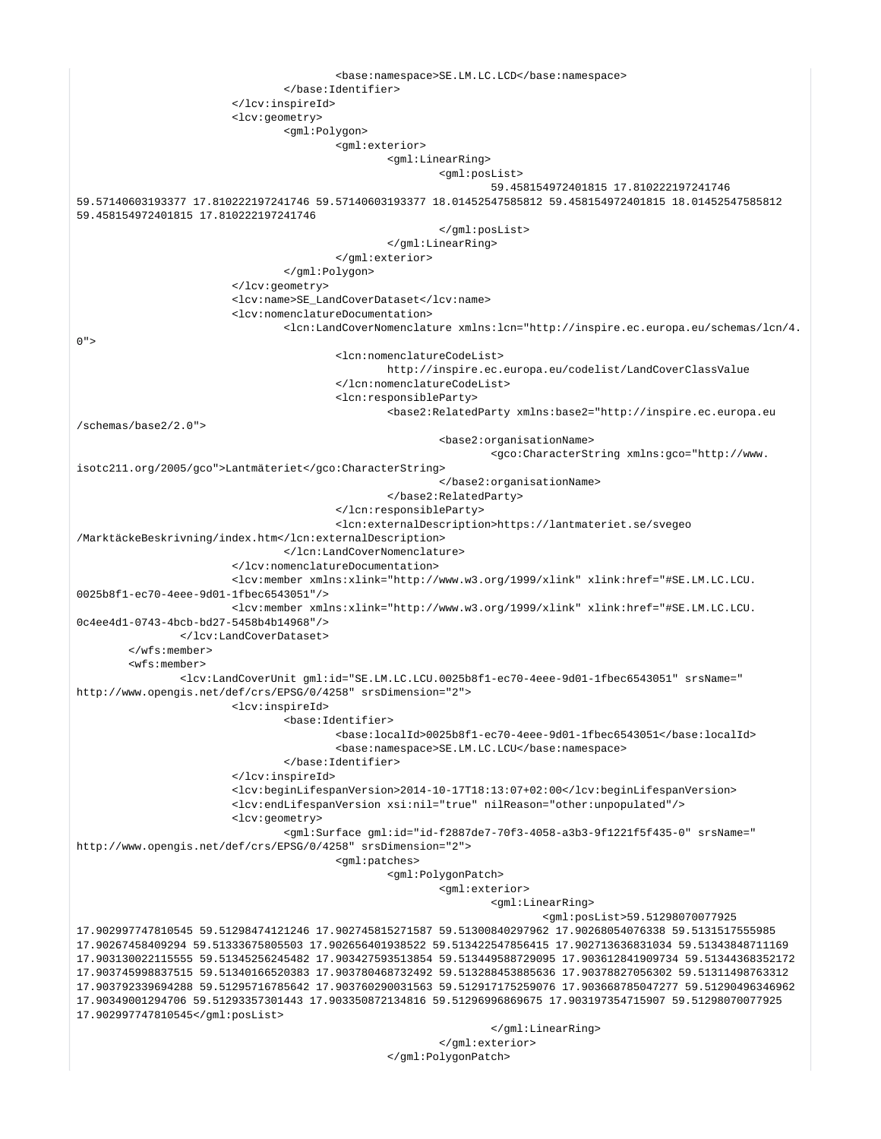```
 <base:namespace>SE.LM.LC.LCD</base:namespace>
                                  </base:Identifier>
                          </lcv:inspireId>
                          <lcv:geometry>
                                  <gml:Polygon>
                                          <gml:exterior>
                                                  <gml:LinearRing>
                                                           <gml:posList>
                                                                   59.458154972401815 17.810222197241746 
59.57140603193377 17.810222197241746 59.57140603193377 18.01452547585812 59.458154972401815 18.01452547585812 
59.458154972401815 17.810222197241746
                                                           </gml:posList>
                                                  </gml:LinearRing>
                                          </gml:exterior>
                                  </gml:Polygon>
                          </lcv:geometry>
                          <lcv:name>SE_LandCoverDataset</lcv:name>
                          <lcv:nomenclatureDocumentation>
                                  <lcn:LandCoverNomenclature xmlns:lcn="http://inspire.ec.europa.eu/schemas/lcn/4.
0" <lcn:nomenclatureCodeList>
                                                  http://inspire.ec.europa.eu/codelist/LandCoverClassValue
                                          </lcn:nomenclatureCodeList>
                                          <lcn:responsibleParty>
                                                  <base2:RelatedParty xmlns:base2="http://inspire.ec.europa.eu
/schemas/base2/2.0">
                                                           <base2:organisationName>
                                                                   <gco:CharacterString xmlns:gco="http://www.
isotc211.org/2005/gco">Lantmäteriet</gco:CharacterString>
                                                           </base2:organisationName>
                                                  </base2:RelatedParty>
                                          </lcn:responsibleParty>
                                          <lcn:externalDescription>https://lantmateriet.se/svegeo
/MarktäckeBeskrivning/index.htm</lcn:externalDescription>
                                  </lcn:LandCoverNomenclature>
                          </lcv:nomenclatureDocumentation>
                          <lcv:member xmlns:xlink="http://www.w3.org/1999/xlink" xlink:href="#SE.LM.LC.LCU.
0025b8f1-ec70-4eee-9d01-1fbec6543051"/>
                          <lcv:member xmlns:xlink="http://www.w3.org/1999/xlink" xlink:href="#SE.LM.LC.LCU.
0c4ee4d1-0743-4bcb-bd27-5458b4b14968"/>
                 </lcv:LandCoverDataset>
         </wfs:member>
         <wfs:member>
                 <lcv:LandCoverUnit gml:id="SE.LM.LC.LCU.0025b8f1-ec70-4eee-9d01-1fbec6543051" srsName="
http://www.opengis.net/def/crs/EPSG/0/4258" srsDimension="2">
                         <lcv:inspireId>
                                  <base:Identifier>
                                          <base:localId>0025b8f1-ec70-4eee-9d01-1fbec6543051</base:localId>
                                          <base:namespace>SE.LM.LC.LCU</base:namespace>
                                  </base:Identifier>
                          </lcv:inspireId>
                          <lcv:beginLifespanVersion>2014-10-17T18:13:07+02:00</lcv:beginLifespanVersion>
                          <lcv:endLifespanVersion xsi:nil="true" nilReason="other:unpopulated"/>
                          <lcv:geometry>
                                  <gml:Surface gml:id="id-f2887de7-70f3-4058-a3b3-9f1221f5f435-0" srsName="
http://www.opengis.net/def/crs/EPSG/0/4258" srsDimension="2">
                                          <gml:patches>
                                                  <gml:PolygonPatch>
                                                           <gml:exterior>
                                                                   <gml:LinearRing>
                                                                           <gml:posList>59.51298070077925 
17.902997747810545 59.51298474121246 17.902745815271587 59.51300840297962 17.90268054076338 59.5131517555985 
17.90267458409294 59.51333675805503 17.902656401938522 59.513422547856415 17.902713636831034 59.51343848711169 
17.903130022115555 59.51345256245482 17.903427593513854 59.513449588729095 17.903612841909734 59.51344368352172 
17.903745998837515 59.51340166520383 17.903780468732492 59.513288453885636 17.90378827056302 59.51311498763312 
17.903792339694288 59.51295716785642 17.903760290031563 59.512917175259076 17.903668785047277 59.51290496346962 
17.90349001294706 59.51293357301443 17.903350872134816 59.51296996869675 17.903197354715907 59.51298070077925 
17.902997747810545</gml:posList>
                                                                   </gml:LinearRing>
                                                           </gml:exterior>
```
</gml:PolygonPatch>